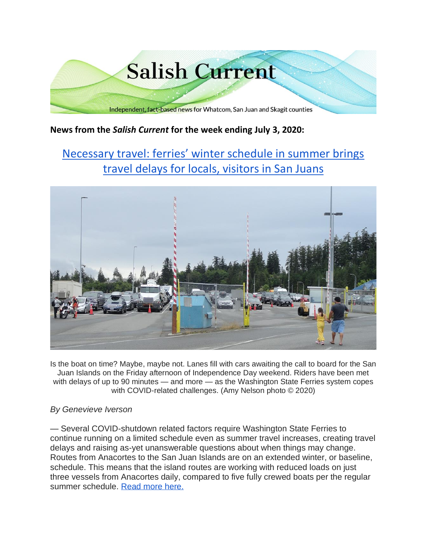

## **News from the** *Salish Current* **for the week ending July 3, 2020:**

# [Necessary travel: ferries' winter schedule in summer brings](https://salish-current.org/2020/07/03/necessary-travel-ferries-winter-schedule-in-summer-brings-travel-delays-for-locals-visitors-in-san-juans/)  [travel delays for locals, visitors in San Juans](https://salish-current.org/2020/07/03/necessary-travel-ferries-winter-schedule-in-summer-brings-travel-delays-for-locals-visitors-in-san-juans/)



Is the boat on time? Maybe, maybe not. Lanes fill with cars awaiting the call to board for the San Juan Islands on the Friday afternoon of Independence Day weekend. Riders have been met with delays of up to 90 minutes — and more — as the Washington State Ferries system copes with COVID-related challenges. (Amy Nelson photo © 2020)

#### *By Genevieve Iverson*

— Several COVID-shutdown related factors require Washington State Ferries to continue running on a limited schedule even as summer travel increases, creating travel delays and raising as-yet unanswerable questions about when things may change. Routes from Anacortes to the San Juan Islands are on an extended winter, or baseline, schedule. This means that the island routes are working with reduced loads on just three vessels from Anacortes daily, compared to five fully crewed boats per the regular summer schedule. [Read more here.](https://salish-current.org/2020/07/03/necessary-travel-ferries-winter-schedule-in-summer-brings-travel-delays-for-locals-visitors-in-san-juans/)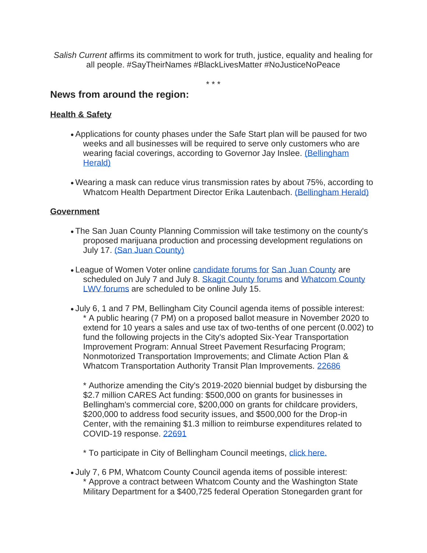*Salish Current* affirms its commitment to work for truth, justice, equality and healing for all people. #SayTheirNames #BlackLivesMatter #NoJusticeNoPeace

\* \* \*

## **News from around the region:**

### **Health & Safety**

- Applications for county phases under the Safe Start plan will be paused for two weeks and all businesses will be required to serve only customers who are wearing facial coverings, according to Governor Jay Inslee. (Bellingham [Herald\)](https://www.bellinghamherald.com/news/coronavirus/article243969172.html)
- Wearing a mask can reduce virus transmission rates by about 75%, according to Whatcom Health Department Director Erika Lautenbach. [\(Bellingham Herald\)](https://www.bellinghamherald.com/news/coronavirus/article243937507.html)

#### **Government**

- The San Juan County Planning Commission will take testimony on the county's proposed marijuana production and processing development regulations on July 17. [\(San Juan County\)](https://www.islandsweekly.com/news/public-hearing-regarding-marijuana-production-and-processing-regulations/)
- League of Women Voter online [candidate forums for](https://sanjuanupdate.com/2020/06/league-of-women-voters-holds-virtual-primary-election-forums-for-san-juan-county-council/) [San Juan County](https://sanjuanupdate.com/2020/06/league-of-women-voters-holds-virtual-primary-election-forums-for-san-juan-county-council/) are scheduled on July 7 and July 8. [Skagit County forums](https://www.goskagit.com/news/local_news/league-of-women-voters-holding-candidate-forums/article_27461b13-6778-5f41-8ac3-aa0669bc3c72.html) and Whatcom County [LWV forums](https://www.lwvbellinghamwhatcom.org/) are scheduled to be online July 15.
- July 6, 1 and 7 PM, Bellingham City Council agenda items of possible interest: \* A public hearing (7 PM) on a proposed ballot measure in November 2020 to extend for 10 years a sales and use tax of two-tenths of one percent (0.002) to fund the following projects in the City's adopted Six-Year Transportation Improvement Program: Annual Street Pavement Resurfacing Program; Nonmotorized Transportation Improvements; and Climate Action Plan & Whatcom Transportation Authority Transit Plan Improvements. [22686](https://meetings.cob.org/Documents/ViewDocument/Agenda%20Bill%2022686.pdf?meetingId=2259&documentType=Agenda&itemId=15043&publishId=16337&isSection=false)

\* Authorize amending the City's 2019-2020 biennial budget by disbursing the \$2.7 million CARES Act funding: \$500,000 on grants for businesses in Bellingham's commercial core, \$200,000 on grants for childcare providers, \$200,000 to address food security issues, and \$500,000 for the Drop-in Center, with the remaining \$1.3 million to reimburse expenditures related to COVID-19 response. [22691](https://meetings.cob.org/Documents/ViewDocument/Agenda%20Bill%2022691.pdf?meetingId=2259&documentType=Agenda&itemId=15044&publishId=16329&isSection=false)

\* To participate in City of Bellingham Council meetings, [click here.](https://meetings.cob.org/Meetings/ViewMeeting?id=2266&doctype=1)

• July 7, 6 PM, Whatcom County Council agenda items of possible interest: \* Approve a contract between Whatcom County and the Washington State Military Department for a \$400,725 federal Operation Stonegarden grant for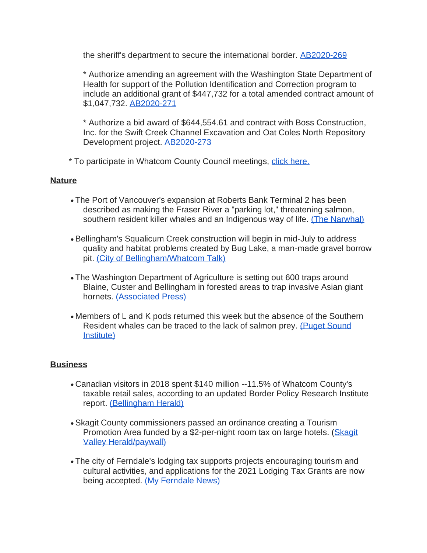the sheriff's department to secure the international border. [AB2020-269](https://whatcom.legistar.com/View.ashx?M=F&ID=8643487&GUID=76718634-6147-431B-A457-A744831F81D5)

\* Authorize amending an agreement with the Washington State Department of Health for support of the Pollution Identification and Correction program to include an additional grant of \$447,732 for a total amended contract amount of \$1,047,732. [AB2020-271](https://whatcom.legistar.com/View.ashx?M=F&ID=8643482&GUID=85D8BD75-C562-497E-A74F-7833E138DD3D)

\* Authorize a bid award of \$644,554.61 and contract with Boss Construction, Inc. for the Swift Creek Channel Excavation and Oat Coles North Repository Development project. [AB2020-273](https://whatcom.legistar.com/View.ashx?M=F&ID=8643486&GUID=041C2CB1-5FFD-4269-A4B9-8FC14A95F7B0)

\* To participate in Whatcom County Council meetings, [click here.](http://www.whatcomcounty.us/3415/Participate-in-Virtual-Council-Meetings)

#### **Nature**

- The Port of Vancouver's expansion at Roberts Bank Terminal 2 has been described as making the Fraser River a "parking lot," threatening salmon, southern resident killer whales and an Indigenous way of life. [\(The Narwhal\)](https://thenarwhal.ca/roberts-bank-terminal-2-threats-fraser-river-salmon-killer-whales/)
- Bellingham's Squalicum Creek construction will begin in mid-July to address quality and habitat problems created by Bug Lake, a man-made gravel borrow pit. [\(City of Bellingham/Whatcom Talk\)](https://www.whatcomtalk.com/2020/07/01/construction-of-squalicum-creek-water-quality-and-habitat-improvement-project-begins-soon/)
- The Washington Department of Agriculture is setting out 600 traps around Blaine, Custer and Bellingham in forested areas to trap invasive Asian giant hornets. [\(Associated Press\)](https://www.seattletimes.com/seattle-news/washington-state-begins-trapping-for-asian-giant-hornets/?utm_source=referral&utm_medium=mobile-app&utm_campaign=ios)
- Members of L and K pods returned this week but the absence of the Southern Resident whales can be traced to the lack of salmon prey. (Puget Sound [Institute\)](https://www.pugetsoundinstitute.org/2020/07/absent-orcas-most-of-the-whales-simply-are-not-around-to-be-counted-at-this-time/)

#### **Business**

- Canadian visitors in 2018 spent \$140 million --11.5% of Whatcom County's taxable retail sales, according to an updated Border Policy Research Institute report. [\(Bellingham Herald\)](https://www.bellinghamherald.com/news/local/article243833967.html)
- Skagit County commissioners passed an ordinance creating a Tourism Promotion Area funded by a \$2-per-night room tax on large hotels. (Skagit [Valley Herald/paywall\)](https://www.goskagit.com/news/local_news/tourism-promotion-area-gets-go-ahead/article_26d2061c-6940-5626-841a-1a68ffd30483.html)
- The city of Ferndale's lodging tax supports projects encouraging tourism and cultural activities, and applications for the 2021 Lodging Tax Grants are now being accepted. [\(My Ferndale News\)](https://myferndalenews.com/money-is-available-for-ideas-that-will-bring-visitors-back-to-ferndale-in-2021_104512/)